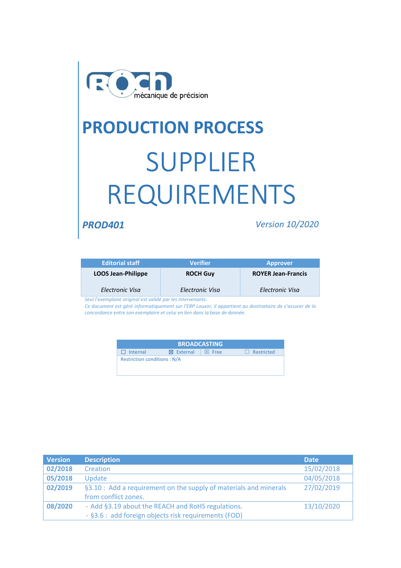

# **PRODUCTION PROCESS** SUPPLIER REQUIREMENTS

*PROD401 Version 10/2020*

| <b>Editorial staff</b>    | <b>Verifier</b> | <b>Approver</b>           |
|---------------------------|-----------------|---------------------------|
| <b>LOOS Jean-Philippe</b> | <b>ROCH Guy</b> | <b>ROYER Jean-Francis</b> |
| Electronic Visa           | Electronic Visa | Electronic Visa           |

*Seul l'exemplaire original est validé par les intervenants.*

*Ce document est géré informatiquement sur l'ERP Louxor, il appartient au destinataire de s'assurer de la concordance entre son exemplaire et celui en lien dans la base de donnée.*

| <b>BROADCASTING</b>                |                   |          |                   |  |  |  |
|------------------------------------|-------------------|----------|-------------------|--|--|--|
| $\Box$ Internal                    | <b>X</b> External | Ⅰ ⊠ Free | $\Box$ Restricted |  |  |  |
| <b>Restriction conditions: N/A</b> |                   |          |                   |  |  |  |

| <b>Version</b> | <b>Description</b>                                                | <b>Date</b> |
|----------------|-------------------------------------------------------------------|-------------|
| 02/2018        | Creation                                                          | 15/02/2018  |
| 05/2018        | Update                                                            | 04/05/2018  |
| 02/2019        | §3.10 : Add a requirement on the supply of materials and minerals | 27/02/2019  |
|                | from conflict zones.                                              |             |
| 08/2020        | - Add §3.19 about the REACH and RoHS regulations.                 | 13/10/2020  |
|                | - §3.6 : add foreign objects risk requirements (FOD)              |             |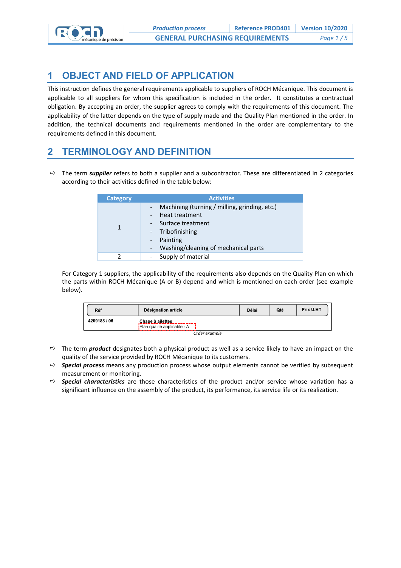

### **1 OBJECT AND FIELD OF APPLICATION**

This instruction defines the general requirements applicable to suppliers of ROCH Mécanique. This document is applicable to all suppliers for whom this specification is included in the order. It constitutes a contractual obligation. By accepting an order, the supplier agrees to comply with the requirements of this document. The applicability of the latter depends on the type of supply made and the Quality Plan mentioned in the order. In addition, the technical documents and requirements mentioned in the order are complementary to the requirements defined in this document.

#### **2 TERMINOLOGY AND DEFINITION**

 The term *supplier* refers to both a supplier and a subcontractor. These are differentiated in 2 categories according to their activities defined in the table below:

| <b>Category</b> | <b>Activities</b>                                                                                                                                                                                                                         |
|-----------------|-------------------------------------------------------------------------------------------------------------------------------------------------------------------------------------------------------------------------------------------|
|                 | Machining (turning / milling, grinding, etc.)<br>$\sim$<br>Heat treatment<br>$\sim$<br>Surface treatment<br>$\sim$ 10 $\pm$<br>- Tribofinishing<br>Painting<br>$\sim$<br>Washing/cleaning of mechanical parts<br>$\overline{\phantom{a}}$ |
|                 | Supply of material<br>$\overline{\phantom{a}}$                                                                                                                                                                                            |

For Category 1 suppliers, the applicability of the requirements also depends on the Quality Plan on which the parts within ROCH Mécanique (A or B) depend and which is mentioned on each order (see example below).

| Réf          | <b>Désignation article</b>                                       | <b>Délai</b> | Qté | Prix U.HT |
|--------------|------------------------------------------------------------------|--------------|-----|-----------|
| 4209188 / 06 | Chape à ailettes_________<br><b>iPlan qualité applicable : A</b> |              |     |           |
|              | $\sim$ $\sim$ $\sim$ $\sim$                                      |              |     |           |

*Order example*

- The term *product* designates both a physical product as well as a service likely to have an impact on the quality of the service provided by ROCH Mécanique to its customers.
- *Special process* means any production process whose output elements cannot be verified by subsequent measurement or monitoring.
- *Special characteristics* are those characteristics of the product and/or service whose variation has a significant influence on the assembly of the product, its performance, its service life or its realization.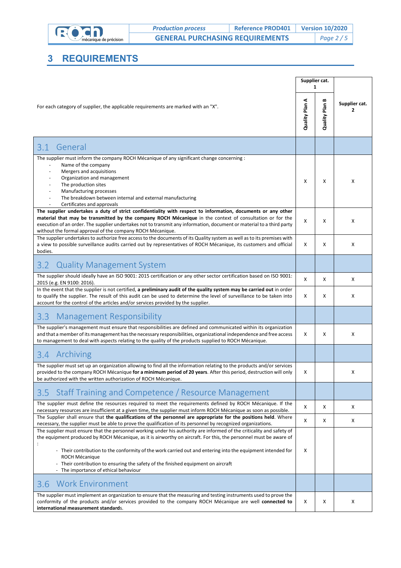

## **3 REQUIREMENTS**

|                                                                                                                                                                                                                                                                                                                                                                                                                                                                                                                   | Supplier cat.     | 1                 |                    |
|-------------------------------------------------------------------------------------------------------------------------------------------------------------------------------------------------------------------------------------------------------------------------------------------------------------------------------------------------------------------------------------------------------------------------------------------------------------------------------------------------------------------|-------------------|-------------------|--------------------|
| For each category of supplier, the applicable requirements are marked with an "X".                                                                                                                                                                                                                                                                                                                                                                                                                                | ⋖<br>Quality Plan | ≃<br>Quality Plan | Supplier cat.<br>2 |
| 3.1<br>General                                                                                                                                                                                                                                                                                                                                                                                                                                                                                                    |                   |                   |                    |
| The supplier must inform the company ROCH Mécanique of any significant change concerning :<br>Name of the company<br>Mergers and acquisitions<br>Organization and management<br>The production sites<br>Manufacturing processes<br>The breakdown between internal and external manufacturing                                                                                                                                                                                                                      | X                 | Х                 | X                  |
| Certificates and approvals<br>The supplier undertakes a duty of strict confidentiality with respect to information, documents or any other<br>material that may be transmitted by the company ROCH Mécanique in the context of consultation or for the<br>execution of an order. The supplier undertakes not to transmit any information, document or material to a third party<br>without the formal approval of the company ROCH Mécanique.                                                                     | X                 | X                 | X                  |
| The supplier undertakes to authorize free access to the documents of its Quality system as well as to its premises with<br>a view to possible surveillance audits carried out by representatives of ROCH Mécanique, its customers and official<br>bodies.                                                                                                                                                                                                                                                         | X                 | X                 | X                  |
| <b>Quality Management System</b><br>3.2                                                                                                                                                                                                                                                                                                                                                                                                                                                                           |                   |                   |                    |
| The supplier should ideally have an ISO 9001: 2015 certification or any other sector certification based on ISO 9001:<br>2015 (e.g. EN 9100: 2016).                                                                                                                                                                                                                                                                                                                                                               | х                 | Χ                 | х                  |
| In the event that the supplier is not certified, a preliminary audit of the quality system may be carried out in order<br>to qualify the supplier. The result of this audit can be used to determine the level of surveillance to be taken into<br>account for the control of the articles and/or services provided by the supplier.                                                                                                                                                                              | X                 | X                 | X                  |
| <b>Management Responsibility</b><br>3.3                                                                                                                                                                                                                                                                                                                                                                                                                                                                           |                   |                   |                    |
| The supplier's management must ensure that responsibilities are defined and communicated within its organization<br>and that a member of its management has the necessary responsibilities, organizational independence and free access<br>to management to deal with aspects relating to the quality of the products supplied to ROCH Mécanique.                                                                                                                                                                 | X                 | Х                 | X                  |
| 3.4 Archiving                                                                                                                                                                                                                                                                                                                                                                                                                                                                                                     |                   |                   |                    |
| The supplier must set up an organization allowing to find all the information relating to the products and/or services<br>provided to the company ROCH Mécanique for a minimum period of 20 years. After this period, destruction will only<br>be authorized with the written authorization of ROCH Mécanique.                                                                                                                                                                                                    | х                 |                   | х                  |
| Staff Training and Competence / Resource Management<br>3.5                                                                                                                                                                                                                                                                                                                                                                                                                                                        |                   |                   |                    |
| The supplier must define the resources required to meet the requirements defined by ROCH Mécanique. If the<br>necessary resources are insufficient at a given time, the supplier must inform ROCH Mécanique as soon as possible.                                                                                                                                                                                                                                                                                  | х                 | х                 | Х                  |
| The Supplier shall ensure that the qualifications of the personnel are appropriate for the positions held. Where<br>necessary, the supplier must be able to prove the qualification of its personnel by recognized organizations.                                                                                                                                                                                                                                                                                 | X                 | x                 | X                  |
| The supplier must ensure that the personnel working under his authority are informed of the criticality and safety of<br>the equipment produced by ROCH Mécanique, as it is airworthy on aircraft. For this, the personnel must be aware of<br>- Their contribution to the conformity of the work carried out and entering into the equipment intended for<br><b>ROCH Mécanique</b><br>- Their contribution to ensuring the safety of the finished equipment on aircraft<br>- The importance of ethical behaviour | х                 |                   |                    |
| <b>Work Environment</b><br>3.6                                                                                                                                                                                                                                                                                                                                                                                                                                                                                    |                   |                   |                    |
| The supplier must implement an organization to ensure that the measuring and testing instruments used to prove the<br>conformity of the products and/or services provided to the company ROCH Mécanique are well connected to<br>international measurement standards.                                                                                                                                                                                                                                             | х                 | х                 | х                  |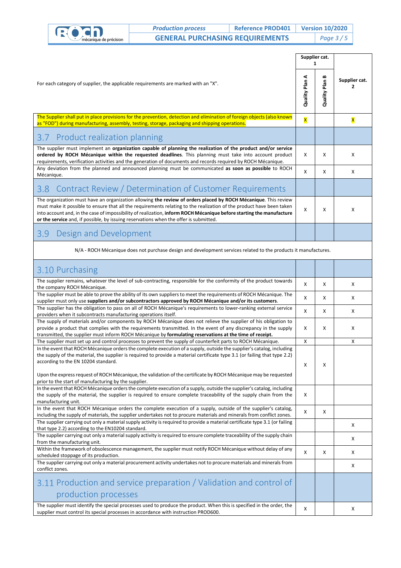|  | <b>Production process</b> | <b>Reference PROD401</b>                                                                                                                                                                                                  |                                        | <b>Version 10/2020</b>  |                      |               |
|--|---------------------------|---------------------------------------------------------------------------------------------------------------------------------------------------------------------------------------------------------------------------|----------------------------------------|-------------------------|----------------------|---------------|
|  | mécanique de précision    |                                                                                                                                                                                                                           | <b>GENERAL PURCHASING REQUIREMENTS</b> |                         | Page $3/5$           |               |
|  |                           |                                                                                                                                                                                                                           | Supplier cat.                          |                         |                      |               |
|  |                           | For each category of supplier, the applicable requirements are marked with an "X".                                                                                                                                        |                                        | ⋖<br>Quality Plan       | ≃<br>Plan<br>Quality | Supplier cat. |
|  |                           | The Supplier shall put in place provisions for the prevention, detection and elimination of foreign objects (also known<br>as "FOD") during manufacturing, assembly, testing, storage, packaging and shipping operations. |                                        | $\overline{\mathsf{x}}$ |                      |               |

| 3.7 Product realization planning                                                                                                                                                                                                                                                                                                                                                                                                                        |   |   |   |
|---------------------------------------------------------------------------------------------------------------------------------------------------------------------------------------------------------------------------------------------------------------------------------------------------------------------------------------------------------------------------------------------------------------------------------------------------------|---|---|---|
| The supplier must implement an organization capable of planning the realization of the product and/or service<br>ordered by ROCH Mécanique within the requested deadlines. This planning must take into account product<br>requirements, verification activities and the generation of documents and records required by ROCH Mécanique.                                                                                                                | x | x | x |
| Any deviation from the planned and announced planning must be communicated as soon as possible to ROCH<br>Mécanique.                                                                                                                                                                                                                                                                                                                                    | X | Χ | х |
| Contract Review / Determination of Customer Requirements<br>3.8 <sup>°</sup>                                                                                                                                                                                                                                                                                                                                                                            |   |   |   |
| The organization must have an organization allowing the review of orders placed by ROCH Mécanique. This review<br>must make it possible to ensure that all the requirements relating to the realization of the product have been taken<br>into account and, in the case of impossibility of realization, inform ROCH Mécanique before starting the manufacture<br>or the service and, if possible, by issuing reservations when the offer is submitted. |   | χ | x |
| Design and Development<br>3.9                                                                                                                                                                                                                                                                                                                                                                                                                           |   |   |   |

#### N/A - ROCH Mécanique does not purchase design and development services related to the products it manufactures.

| 3.10 Purchasing                                                                                                                                                                                                                                                                                                                                |              |   |   |
|------------------------------------------------------------------------------------------------------------------------------------------------------------------------------------------------------------------------------------------------------------------------------------------------------------------------------------------------|--------------|---|---|
| The supplier remains, whatever the level of sub-contracting, responsible for the conformity of the product towards<br>the company ROCH Mécanique.                                                                                                                                                                                              | X            | X | X |
| The supplier must be able to prove the ability of its own suppliers to meet the requirements of ROCH Mécanique. The<br>supplier must only use suppliers and/or subcontractors approved by ROCH Mécanique and/or its customers.                                                                                                                 | x            | X | X |
| The supplier has the obligation to pass on all of ROCH Mécanique's requirements to lower-ranking external service<br>providers when it subcontracts manufacturing operations itself.                                                                                                                                                           | X            | X | X |
| The supply of materials and/or components by ROCH Mécanique does not relieve the supplier of his obligation to<br>provide a product that complies with the requirements transmitted. In the event of any discrepancy in the supply<br>transmitted, the supplier must inform ROCH Mécanique by formulating reservations at the time of receipt. | X            | X | X |
| The supplier must set up and control processes to prevent the supply of counterfeit parts to ROCH Mécanique.                                                                                                                                                                                                                                   | X            |   | X |
| In the event that ROCH Mécanique orders the complete execution of a supply, outside the supplier's catalog, including<br>the supply of the material, the supplier is required to provide a material certificate type 3.1 (or failing that type 2.2)<br>according to the EN 10204 standard.                                                     | X            | X |   |
| Upon the express request of ROCH Mécanique, the validation of the certificate by ROCH Mécanique may be requested<br>prior to the start of manufacturing by the supplier.                                                                                                                                                                       |              |   |   |
| In the event that ROCH Mécanique orders the complete execution of a supply, outside the supplier's catalog, including<br>the supply of the material, the supplier is required to ensure complete traceability of the supply chain from the<br>manufacturing unit.                                                                              | X            |   |   |
| In the event that ROCH Mécanique orders the complete execution of a supply, outside of the supplier's catalog,<br>including the supply of materials, the supplier undertakes not to procure materials and minerals from conflict zones.                                                                                                        | X            | X |   |
| The supplier carrying out only a material supply activity is required to provide a material certificate type 3.1 (or failing<br>that type 2.2) according to the EN10204 standard.                                                                                                                                                              |              |   | X |
| The supplier carrying out only a material supply activity is required to ensure complete traceability of the supply chain<br>from the manufacturing unit.                                                                                                                                                                                      |              |   | X |
| Within the framework of obsolescence management, the supplier must notify ROCH Mécanique without delay of any<br>scheduled stoppage of its production.                                                                                                                                                                                         | $\mathsf{x}$ | X | X |
| The supplier carrying out only a material procurement activity undertakes not to procure materials and minerals from<br>conflict zones.                                                                                                                                                                                                        |              |   | X |
| 3.11 Production and service preparation / Validation and control of<br>production processes                                                                                                                                                                                                                                                    |              |   |   |
| The supplier must identify the special processes used to produce the product. When this is specified in the order, the<br>supplier must control its special processes in accordance with instruction PROD600.                                                                                                                                  | X            |   | X |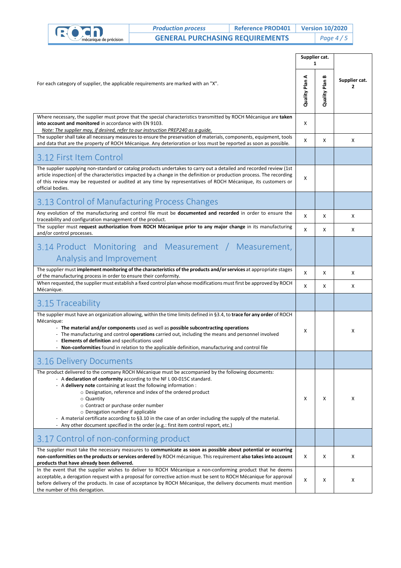|                                                                                                                                                                                                                                                                                                                                                                                                                                                                                                                                                                                                                           | <b>Production process</b>                                                                                                                                                                                                                                                                                                                                                                                                    | <b>Reference PROD401</b> |   | <b>Version 10/2020</b> |                    |
|---------------------------------------------------------------------------------------------------------------------------------------------------------------------------------------------------------------------------------------------------------------------------------------------------------------------------------------------------------------------------------------------------------------------------------------------------------------------------------------------------------------------------------------------------------------------------------------------------------------------------|------------------------------------------------------------------------------------------------------------------------------------------------------------------------------------------------------------------------------------------------------------------------------------------------------------------------------------------------------------------------------------------------------------------------------|--------------------------|---|------------------------|--------------------|
|                                                                                                                                                                                                                                                                                                                                                                                                                                                                                                                                                                                                                           | <b>GENERAL PURCHASING REQUIREMENTS</b><br>nécanique de précision                                                                                                                                                                                                                                                                                                                                                             |                          |   | Page $4/5$             |                    |
|                                                                                                                                                                                                                                                                                                                                                                                                                                                                                                                                                                                                                           |                                                                                                                                                                                                                                                                                                                                                                                                                              |                          |   | Supplier cat.<br>1     |                    |
| For each category of supplier, the applicable requirements are marked with an "X".                                                                                                                                                                                                                                                                                                                                                                                                                                                                                                                                        |                                                                                                                                                                                                                                                                                                                                                                                                                              |                          |   | ≃<br>Quality Plan      | Supplier cat.<br>2 |
| into account and monitored in accordance with EN 9103.                                                                                                                                                                                                                                                                                                                                                                                                                                                                                                                                                                    | Where necessary, the supplier must prove that the special characteristics transmitted by ROCH Mécanique are taken<br>Note: The supplier may, if desired, refer to our instruction PREP240 as a quide.                                                                                                                                                                                                                        |                          | Χ |                        |                    |
|                                                                                                                                                                                                                                                                                                                                                                                                                                                                                                                                                                                                                           | The supplier shall take all necessary measures to ensure the preservation of materials, components, equipment, tools<br>and data that are the property of ROCH Mécanique. Any deterioration or loss must be reported as soon as possible.                                                                                                                                                                                    |                          | Χ | Х                      | Х                  |
| 3.12 First Item Control                                                                                                                                                                                                                                                                                                                                                                                                                                                                                                                                                                                                   |                                                                                                                                                                                                                                                                                                                                                                                                                              |                          |   |                        |                    |
| official bodies.                                                                                                                                                                                                                                                                                                                                                                                                                                                                                                                                                                                                          | The supplier supplying non-standard or catalog products undertakes to carry out a detailed and recorded review (1st<br>article inspection) of the characteristics impacted by a change in the definition or production process. The recording<br>of this review may be requested or audited at any time by representatives of ROCH Mécanique, its customers or                                                               |                          | X |                        |                    |
|                                                                                                                                                                                                                                                                                                                                                                                                                                                                                                                                                                                                                           | 3.13 Control of Manufacturing Process Changes                                                                                                                                                                                                                                                                                                                                                                                |                          |   |                        |                    |
| traceability and configuration management of the product.                                                                                                                                                                                                                                                                                                                                                                                                                                                                                                                                                                 | Any evolution of the manufacturing and control file must be documented and recorded in order to ensure the                                                                                                                                                                                                                                                                                                                   |                          | Χ | Х                      | Х                  |
| and/or control processes.                                                                                                                                                                                                                                                                                                                                                                                                                                                                                                                                                                                                 | The supplier must request authorization from ROCH Mécanique prior to any major change in its manufacturing                                                                                                                                                                                                                                                                                                                   |                          | x | Х                      | X                  |
|                                                                                                                                                                                                                                                                                                                                                                                                                                                                                                                                                                                                                           | 3.14 Product Monitoring and Measurement / Measurement,<br>Analysis and Improvement                                                                                                                                                                                                                                                                                                                                           |                          |   |                        |                    |
| The supplier must implement monitoring of the characteristics of the products and/or services at appropriate stages<br>of the manufacturing process in order to ensure their conformity.                                                                                                                                                                                                                                                                                                                                                                                                                                  |                                                                                                                                                                                                                                                                                                                                                                                                                              |                          | X | Х                      | Χ                  |
| Mécanique.                                                                                                                                                                                                                                                                                                                                                                                                                                                                                                                                                                                                                | When requested, the supplier must establish a fixed control plan whose modifications must first be approved by ROCH                                                                                                                                                                                                                                                                                                          |                          | X | Х                      | Χ                  |
| 3.15 Traceability                                                                                                                                                                                                                                                                                                                                                                                                                                                                                                                                                                                                         |                                                                                                                                                                                                                                                                                                                                                                                                                              |                          |   |                        |                    |
| Mécanique:<br>Elements of definition and specifications used                                                                                                                                                                                                                                                                                                                                                                                                                                                                                                                                                              | The supplier must have an organization allowing, within the time limits defined in §3.4, to trace for any order of ROCH<br>The material and/or components used as well as possible subcontracting operations<br>- The manufacturing and control <b>operations</b> carried out, including the means and personnel involved<br>Non-conformities found in relation to the applicable definition, manufacturing and control file |                          | х |                        | Х                  |
| 3.16 Delivery Documents                                                                                                                                                                                                                                                                                                                                                                                                                                                                                                                                                                                                   |                                                                                                                                                                                                                                                                                                                                                                                                                              |                          |   |                        |                    |
| The product delivered to the company ROCH Mécanique must be accompanied by the following documents:<br>- A declaration of conformity according to the NF L 00-015C standard.<br>- A <b>delivery note</b> containing at least the following information :<br>$\circ$ Designation, reference and index of the ordered product<br>○ Quantity<br>○ Contract or purchase order number<br>○ Derogation number if applicable<br>- A material certificate according to §3.10 in the case of an order including the supply of the material.<br>- Any other document specified in the order (e.g.: first item control report, etc.) |                                                                                                                                                                                                                                                                                                                                                                                                                              |                          | Х | х                      | х                  |
|                                                                                                                                                                                                                                                                                                                                                                                                                                                                                                                                                                                                                           | 3.17 Control of non-conforming product                                                                                                                                                                                                                                                                                                                                                                                       |                          |   |                        |                    |
| products that have already been delivered.                                                                                                                                                                                                                                                                                                                                                                                                                                                                                                                                                                                | The supplier must take the necessary measures to communicate as soon as possible about potential or occurring<br>non-conformities on the products or services ordered by ROCH mécanique. This requirement also takes into account                                                                                                                                                                                            |                          | х | х                      | х                  |
|                                                                                                                                                                                                                                                                                                                                                                                                                                                                                                                                                                                                                           | In the event that the supplier wishes to deliver to ROCH Mécanique a non-conforming product that he deems<br>acceptable, a derogation request with a proposal for corrective action must be sent to ROCH Mécanique for approval<br>before delivery of the products. In case of acceptance by ROCH Mécanique, the delivery documents must mention                                                                             |                          | x | х                      | х                  |

the number of this derogation.